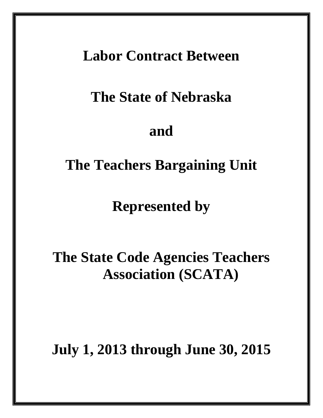### **Labor Contract Between**

## **The State of Nebraska**

### **and**

### **The Teachers Bargaining Unit**

**Represented by**

# **The State Code Agencies Teachers Association (SCATA)**

**July 1, 2013 through June 30, 2015**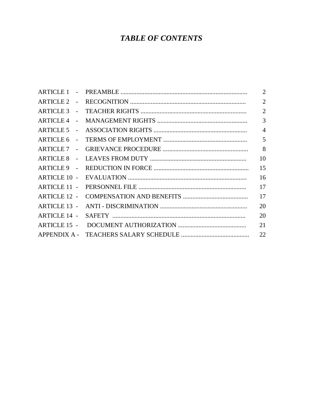### **TABLE OF CONTENTS**

|                     | 2              |
|---------------------|----------------|
| ARTICLE 2 -         | $\overline{2}$ |
|                     | $\overline{2}$ |
| ARTICLE 4 -         | $\overline{3}$ |
|                     | $\overline{4}$ |
| <b>ARTICLE 6</b>    | 5              |
| ARTICLE 7 -         | 8              |
|                     | 10             |
|                     | 15             |
|                     | 16             |
| ARTICLE 11 -        | 17             |
| <b>ARTICLE 12 -</b> | 17             |
| <b>ARTICLE 13 -</b> | 20             |
| <b>ARTICLE 14 -</b> | 20             |
| ARTICLE 15 -        | 21             |
|                     | 22             |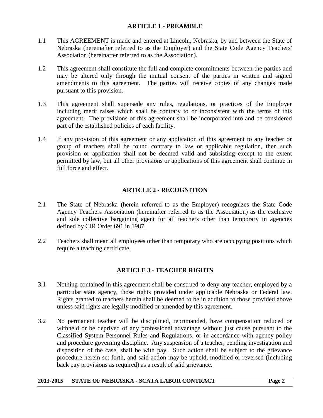#### **ARTICLE 1 - PREAMBLE**

- 1.1 This AGREEMENT is made and entered at Lincoln, Nebraska, by and between the State of Nebraska (hereinafter referred to as the Employer) and the State Code Agency Teachers' Association (hereinafter referred to as the Association).
- 1.2 This agreement shall constitute the full and complete commitments between the parties and may be altered only through the mutual consent of the parties in written and signed amendments to this agreement. The parties will receive copies of any changes made pursuant to this provision.
- 1.3 This agreement shall supersede any rules, regulations, or practices of the Employer including merit raises which shall be contrary to or inconsistent with the terms of this agreement. The provisions of this agreement shall be incorporated into and be considered part of the established policies of each facility.
- 1.4 If any provision of this agreement or any application of this agreement to any teacher or group of teachers shall be found contrary to law or applicable regulation, then such provision or application shall not be deemed valid and subsisting except to the extent permitted by law, but all other provisions or applications of this agreement shall continue in full force and effect.

#### **ARTICLE 2 - RECOGNITION**

- 2.1 The State of Nebraska (herein referred to as the Employer) recognizes the State Code Agency Teachers Association (hereinafter referred to as the Association) as the exclusive and sole collective bargaining agent for all teachers other than temporary in agencies defined by CIR Order 691 in 1987.
- 2.2 Teachers shall mean all employees other than temporary who are occupying positions which require a teaching certificate.

#### **ARTICLE 3 - TEACHER RIGHTS**

- 3.1 Nothing contained in this agreement shall be construed to deny any teacher, employed by a particular state agency, those rights provided under applicable Nebraska or Federal law. Rights granted to teachers herein shall be deemed to be in addition to those provided above unless said rights are legally modified or amended by this agreement.
- 3.2 No permanent teacher will be disciplined, reprimanded, have compensation reduced or withheld or be deprived of any professional advantage without just cause pursuant to the Classified System Personnel Rules and Regulations, or in accordance with agency policy and procedure governing discipline. Any suspension of a teacher, pending investigation and disposition of the case, shall be with pay. Such action shall be subject to the grievance procedure herein set forth, and said action may be upheld, modified or reversed (including back pay provisions as required) as a result of said grievance.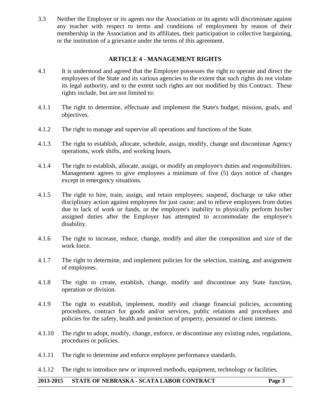3.3 Neither the Employer or its agents nor the Association or its agents will discriminate against any teacher with respect to terms and conditions of employment by reason of their membership in the Association and its affiliates, their participation in collective bargaining, or the institution of a grievance under the terms of this agreement.

#### **ARTICLE 4 - MANAGEMENT RIGHTS**

- 4.1 It is understood and agreed that the Employer possesses the right to operate and direct the employees of the State and its various agencies to the extent that such rights do not violate its legal authority, and to the extent such rights are not modified by this Contract. These rights include, but are not limited to:
- 4.1.1 The right to determine, effectuate and implement the State's budget, mission, goals, and objectives.
- 4.1.2 The right to manage and supervise all operations and functions of the State.
- 4.1.3 The right to establish, allocate, schedule, assign, modify, change and discontinue Agency operations, work shifts, and working hours.
- 4.1.4 The right to establish, allocate, assign, or modify an employee's duties and responsibilities. Management agrees to give employees a minimum of five (5) days notice of changes except in emergency situations.
- 4.1.5 The right to hire, train, assign, and retain employees; suspend, discharge or take other disciplinary action against employees for just cause; and to relieve employees from duties due to lack of work or funds, or the employee's inability to physically perform his/her assigned duties after the Employer has attempted to accommodate the employee's disability.
- 4.1.6 The right to increase, reduce, change, modify and alter the composition and size of the work force.
- 4.1.7 The right to determine, and implement policies for the selection, training, and assignment of employees.
- 4.1.8 The right to create, establish, change, modify and discontinue any State function, operation or division.
- 4.1.9 The right to establish, implement, modify and change financial policies, accounting procedures, contract for goods and/or services, public relations and procedures and policies for the safety, health and protection of property, personnel or client interests.
- 4.1.10 The right to adopt, modify, change, enforce, or discontinue any existing rules, regulations, procedures or policies.
- 4.1.11 The right to determine and enforce employee performance standards.
- 4.1.12 The right to introduce new or improved methods, equipment, technology or facilities.

#### **2013-2015 STATE OF NEBRASKA - SCATA LABOR CONTRACT Page 3**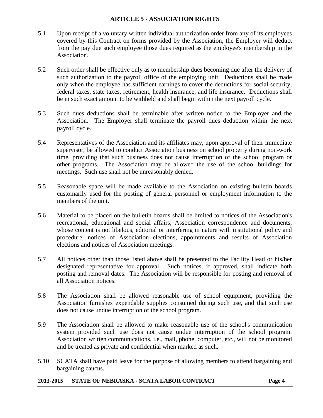#### **ARTICLE 5 - ASSOCIATION RIGHTS**

- 5.1 Upon receipt of a voluntary written individual authorization order from any of its employees covered by this Contract on forms provided by the Association, the Employer will deduct from the pay due such employee those dues required as the employee's membership in the Association.
- 5.2 Such order shall be effective only as to membership dues becoming due after the delivery of such authorization to the payroll office of the employing unit. Deductions shall be made only when the employee has sufficient earnings to cover the deductions for social security, federal taxes, state taxes, retirement, health insurance, and life insurance. Deductions shall be in such exact amount to be withheld and shall begin within the next payroll cycle.
- 5.3 Such dues deductions shall be terminable after written notice to the Employer and the Association. The Employer shall terminate the payroll dues deduction within the next payroll cycle.
- 5.4 Representatives of the Association and its affiliates may, upon approval of their immediate supervisor, be allowed to conduct Association business on school property during non-work time, providing that such business does not cause interruption of the school program or other programs. The Association may be allowed the use of the school buildings for meetings. Such use shall not be unreasonably denied.
- 5.5 Reasonable space will be made available to the Association on existing bulletin boards customarily used for the posting of general personnel or employment information to the members of the unit.
- 5.6 Material to be placed on the bulletin boards shall be limited to notices of the Association's recreational, educational and social affairs; Association correspondence and documents, whose content is not libelous, editorial or interfering in nature with institutional policy and procedure, notices of Association elections, appointments and results of Association elections and notices of Association meetings.
- 5.7 All notices other than those listed above shall be presented to the Facility Head or his/her designated representative for approval. Such notices, if approved, shall indicate both posting and removal dates. The Association will be responsible for posting and removal of all Association notices.
- 5.8 The Association shall be allowed reasonable use of school equipment, providing the Association furnishes expendable supplies consumed during such use, and that such use does not cause undue interruption of the school program.
- 5.9 The Association shall be allowed to make reasonable use of the school's communication system provided such use does not cause undue interruption of the school program. Association written communications, i.e., mail, phone, computer, etc., will not be monitored and be treated as private and confidential when marked as such.
- 5.10 SCATA shall have paid leave for the purpose of allowing members to attend bargaining and bargaining caucus.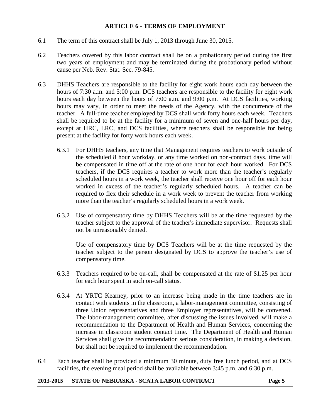#### **ARTICLE 6 - TERMS OF EMPLOYMENT**

- 6.1 The term of this contract shall be July 1, 2013 through June 30, 2015.
- 6.2 Teachers covered by this labor contract shall be on a probationary period during the first two years of employment and may be terminated during the probationary period without cause per Neb. Rev. Stat. Sec. 79-845.
- 6.3 DHHS Teachers are responsible to the facility for eight work hours each day between the hours of 7:30 a.m. and 5:00 p.m. DCS teachers are responsible to the facility for eight work hours each day between the hours of 7:00 a.m. and 9:00 p.m. At DCS facilities, working hours may vary, in order to meet the needs of the Agency, with the concurrence of the teacher. A full-time teacher employed by DCS shall work forty hours each week. Teachers shall be required to be at the facility for a minimum of seven and one-half hours per day, except at HRC, LRC, and DCS facilities, where teachers shall be responsible for being present at the facility for forty work hours each week.
	- 6.3.1 For DHHS teachers, any time that Management requires teachers to work outside of the scheduled 8 hour workday, or any time worked on non-contract days, time will be compensated in time off at the rate of one hour for each hour worked. For DCS teachers, if the DCS requires a teacher to work more than the teacher's regularly scheduled hours in a work week, the teacher shall receive one hour off for each hour worked in excess of the teacher's regularly scheduled hours. A teacher can be required to flex their schedule in a work week to prevent the teacher from working more than the teacher's regularly scheduled hours in a work week.
	- 6.3.2 Use of compensatory time by DHHS Teachers will be at the time requested by the teacher subject to the approval of the teacher's immediate supervisor. Requests shall not be unreasonably denied.

Use of compensatory time by DCS Teachers will be at the time requested by the teacher subject to the person designated by DCS to approve the teacher's use of compensatory time.

- 6.3.3 Teachers required to be on-call, shall be compensated at the rate of \$1.25 per hour for each hour spent in such on-call status.
- 6.3.4 At YRTC Kearney, prior to an increase being made in the time teachers are in contact with students in the classroom, a labor-management committee, consisting of three Union representatives and three Employer representatives, will be convened. The labor-management committee, after discussing the issues involved, will make a recommendation to the Department of Health and Human Services, concerning the increase in classroom student contact time. The Department of Health and Human Services shall give the recommendation serious consideration, in making a decision, but shall not be required to implement the recommendation.
- 6.4 Each teacher shall be provided a minimum 30 minute, duty free lunch period, and at DCS facilities, the evening meal period shall be available between 3:45 p.m. and 6:30 p.m.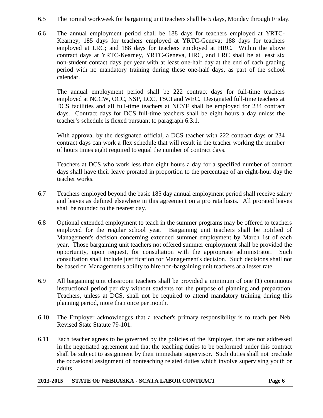- 6.5 The normal workweek for bargaining unit teachers shall be 5 days, Monday through Friday.
- 6.6 The annual employment period shall be 188 days for teachers employed at YRTC-Kearney; 185 days for teachers employed at YRTC-Geneva; 188 days for teachers employed at LRC; and 188 days for teachers employed at HRC. Within the above contract days at YRTC-Kearney, YRTC-Geneva, HRC, and LRC shall be at least six non-student contact days per year with at least one-half day at the end of each grading period with no mandatory training during these one-half days, as part of the school calendar.

The annual employment period shall be 222 contract days for full-time teachers employed at NCCW, OCC, NSP, LCC, TSCI and WEC. Designated full-time teachers at DCS facilities and all full-time teachers at NCYF shall be employed for 234 contract days. Contract days for DCS full-time teachers shall be eight hours a day unless the teacher's schedule is flexed pursuant to paragraph 6.3.1.

With approval by the designated official, a DCS teacher with 222 contract days or 234 contract days can work a flex schedule that will result in the teacher working the number of hours times eight required to equal the number of contract days.

Teachers at DCS who work less than eight hours a day for a specified number of contract days shall have their leave prorated in proportion to the percentage of an eight-hour day the teacher works.

- 6.7 Teachers employed beyond the basic 185 day annual employment period shall receive salary and leaves as defined elsewhere in this agreement on a pro rata basis. All prorated leaves shall be rounded to the nearest day.
- 6.8 Optional extended employment to teach in the summer programs may be offered to teachers employed for the regular school year. Bargaining unit teachers shall be notified of Management's decision concerning extended summer employment by March 1st of each year. Those bargaining unit teachers not offered summer employment shall be provided the opportunity, upon request, for consultation with the appropriate administrator. Such consultation shall include justification for Management's decision. Such decisions shall not be based on Management's ability to hire non-bargaining unit teachers at a lesser rate.
- 6.9 All bargaining unit classroom teachers shall be provided a minimum of one (1) continuous instructional period per day without students for the purpose of planning and preparation. Teachers, unless at DCS, shall not be required to attend mandatory training during this planning period, more than once per month.
- 6.10 The Employer acknowledges that a teacher's primary responsibility is to teach per Neb. Revised State Statute 79-101.
- 6.11 Each teacher agrees to be governed by the policies of the Employer, that are not addressed in the negotiated agreement and that the teaching duties to be performed under this contract shall be subject to assignment by their immediate supervisor. Such duties shall not preclude the occasional assignment of nonteaching related duties which involve supervising youth or adults.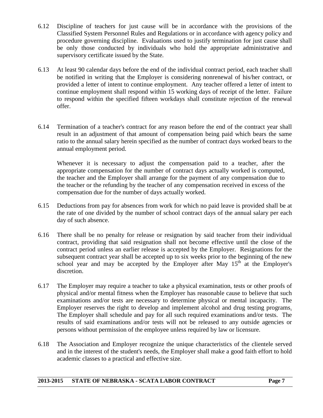- 6.12 Discipline of teachers for just cause will be in accordance with the provisions of the Classified System Personnel Rules and Regulations or in accordance with agency policy and procedure governing discipline. Evaluations used to justify termination for just cause shall be only those conducted by individuals who hold the appropriate administrative and supervisory certificate issued by the State.
- 6.13 At least 90 calendar days before the end of the individual contract period, each teacher shall be notified in writing that the Employer is considering nonrenewal of his/her contract, or provided a letter of intent to continue employment. Any teacher offered a letter of intent to continue employment shall respond within 15 working days of receipt of the letter. Failure to respond within the specified fifteen workdays shall constitute rejection of the renewal offer.
- 6.14 Termination of a teacher's contract for any reason before the end of the contract year shall result in an adjustment of that amount of compensation being paid which bears the same ratio to the annual salary herein specified as the number of contract days worked bears to the annual employment period.

Whenever it is necessary to adjust the compensation paid to a teacher, after the appropriate compensation for the number of contract days actually worked is computed, the teacher and the Employer shall arrange for the payment of any compensation due to the teacher or the refunding by the teacher of any compensation received in excess of the compensation due for the number of days actually worked.

- 6.15 Deductions from pay for absences from work for which no paid leave is provided shall be at the rate of one divided by the number of school contract days of the annual salary per each day of such absence.
- 6.16 There shall be no penalty for release or resignation by said teacher from their individual contract, providing that said resignation shall not become effective until the close of the contract period unless an earlier release is accepted by the Employer. Resignations for the subsequent contract year shall be accepted up to six weeks prior to the beginning of the new school year and may be accepted by the Employer after May  $15<sup>th</sup>$  at the Employer's discretion.
- 6.17 The Employer may require a teacher to take a physical examination, tests or other proofs of physical and/or mental fitness when the Employer has reasonable cause to believe that such examinations and/or tests are necessary to determine physical or mental incapacity. The Employer reserves the right to develop and implement alcohol and drug testing programs. The Employer shall schedule and pay for all such required examinations and/or tests. The results of said examinations and/or tests will not be released to any outside agencies or persons without permission of the employee unless required by law or licensure.
- 6.18 The Association and Employer recognize the unique characteristics of the clientele served and in the interest of the student's needs, the Employer shall make a good faith effort to hold academic classes to a practical and effective size.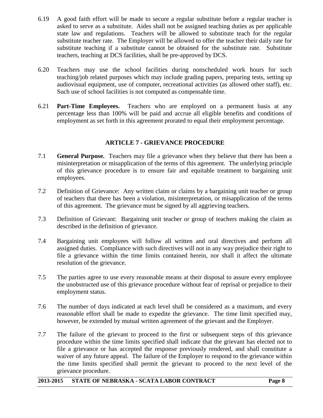- 6.19 A good faith effort will be made to secure a regular substitute before a regular teacher is asked to serve as a substitute. Aides shall not be assigned teaching duties as per applicable state law and regulations. Teachers will be allowed to substitute teach for the regular substitute teacher rate. The Employer will be allowed to offer the teacher their daily rate for substitute teaching if a substitute cannot be obtained for the substitute rate*.* Substitute teachers, teaching at DCS facilities, shall be pre-approved by DCS.
- 6.20 Teachers may use the school facilities during nonscheduled work hours for such teaching/job related purposes which may include grading papers, preparing tests, setting up audiovisual equipment, use of computer, recreational activities (as allowed other staff), etc. Such use of school facilities is not computed as compensable time.
- 6.21 **Part-Time Employees.** Teachers who are employed on a permanent basis at any percentage less than 100% will be paid and accrue all eligible benefits and conditions of employment as set forth in this agreement prorated to equal their employment percentage.

#### **ARTICLE 7 - GRIEVANCE PROCEDURE**

- 7.1 **General Purpose.** Teachers may file a grievance when they believe that there has been a misinterpretation or misapplication of the terms of this agreement. The underlying principle of this grievance procedure is to ensure fair and equitable treatment to bargaining unit employees.
- 7.2 Definition of Grievance: Any written claim or claims by a bargaining unit teacher or group of teachers that there has been a violation, misinterpretation, or misapplication of the terms of this agreement. The grievance must be signed by all aggrieving teachers.
- 7.3 Definition of Grievant: Bargaining unit teacher or group of teachers making the claim as described in the definition of grievance.
- 7.4 Bargaining unit employees will follow all written and oral directives and perform all assigned duties. Compliance with such directives will not in any way prejudice their right to file a grievance within the time limits contained herein, nor shall it affect the ultimate resolution of the grievance.
- 7.5 The parties agree to use every reasonable means at their disposal to assure every employee the unobstructed use of this grievance procedure without fear of reprisal or prejudice to their employment status.
- 7.6 The number of days indicated at each level shall be considered as a maximum, and every reasonable effort shall be made to expedite the grievance. The time limit specified may, however, be extended by mutual written agreement of the grievant and the Employer.
- 7.7 The failure of the grievant to proceed to the first or subsequent steps of this grievance procedure within the time limits specified shall indicate that the grievant has elected not to file a grievance or has accepted the response previously rendered, and shall constitute a waiver of any future appeal. The failure of the Employer to respond to the grievance within the time limits specified shall permit the grievant to proceed to the next level of the grievance procedure.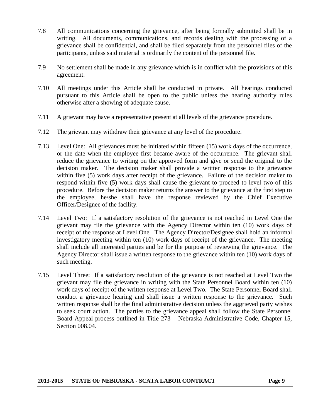- 7.8 All communications concerning the grievance, after being formally submitted shall be in writing. All documents, communications, and records dealing with the processing of a grievance shall be confidential, and shall be filed separately from the personnel files of the participants, unless said material is ordinarily the content of the personnel file.
- 7.9 No settlement shall be made in any grievance which is in conflict with the provisions of this agreement.
- 7.10 All meetings under this Article shall be conducted in private. All hearings conducted pursuant to this Article shall be open to the public unless the hearing authority rules otherwise after a showing of adequate cause.
- 7.11 A grievant may have a representative present at all levels of the grievance procedure.
- 7.12 The grievant may withdraw their grievance at any level of the procedure.
- 7.13 Level One: All grievances must be initiated within fifteen (15) work days of the occurrence, or the date when the employee first became aware of the occurrence. The grievant shall reduce the grievance to writing on the approved form and give or send the original to the decision maker. The decision maker shall provide a written response to the grievance within five (5) work days after receipt of the grievance. Failure of the decision maker to respond within five (5) work days shall cause the grievant to proceed to level two of this procedure. Before the decision maker returns the answer to the grievance at the first step to the employee, he/she shall have the response reviewed by the Chief Executive Officer/Designee of the facility.
- 7.14 Level Two: If a satisfactory resolution of the grievance is not reached in Level One the grievant may file the grievance with the Agency Director within ten (10) work days of receipt of the response at Level One. The Agency Director/Designee shall hold an informal investigatory meeting within ten (10) work days of receipt of the grievance. The meeting shall include all interested parties and be for the purpose of reviewing the grievance. The Agency Director shall issue a written response to the grievance within ten (10) work days of such meeting.
- 7.15 Level Three: If a satisfactory resolution of the grievance is not reached at Level Two the grievant may file the grievance in writing with the State Personnel Board within ten (10) work days of receipt of the written response at Level Two. The State Personnel Board shall conduct a grievance hearing and shall issue a written response to the grievance. Such written response shall be the final administrative decision unless the aggrieved party wishes to seek court action. The parties to the grievance appeal shall follow the State Personnel Board Appeal process outlined in Title 273 – Nebraska Administrative Code, Chapter 15, Section 008.04.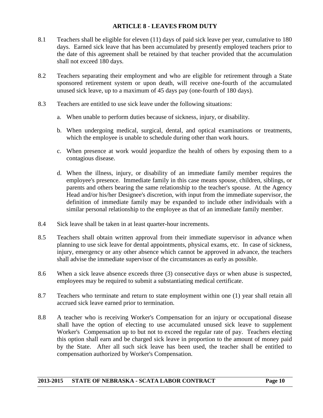#### **ARTICLE 8 - LEAVES FROM DUTY**

- 8.1 Teachers shall be eligible for eleven (11) days of paid sick leave per year, cumulative to 180 days. Earned sick leave that has been accumulated by presently employed teachers prior to the date of this agreement shall be retained by that teacher provided that the accumulation shall not exceed 180 days.
- 8.2 Teachers separating their employment and who are eligible for retirement through a State sponsored retirement system or upon death, will receive one-fourth of the accumulated unused sick leave, up to a maximum of 45 days pay (one-fourth of 180 days).
- 8.3 Teachers are entitled to use sick leave under the following situations:
	- a. When unable to perform duties because of sickness, injury, or disability.
	- b. When undergoing medical, surgical, dental, and optical examinations or treatments, which the employee is unable to schedule during other than work hours.
	- c. When presence at work would jeopardize the health of others by exposing them to a contagious disease.
	- d. When the illness, injury, or disability of an immediate family member requires the employee's presence. Immediate family in this case means spouse, children, siblings, or parents and others bearing the same relationship to the teacher's spouse. At the Agency Head and/or his/her Designee's discretion, with input from the immediate supervisor, the definition of immediate family may be expanded to include other individuals with a similar personal relationship to the employee as that of an immediate family member.
- 8.4 Sick leave shall be taken in at least quarter-hour increments.
- 8.5 Teachers shall obtain written approval from their immediate supervisor in advance when planning to use sick leave for dental appointments, physical exams, etc. In case of sickness, injury, emergency or any other absence which cannot be approved in advance, the teachers shall advise the immediate supervisor of the circumstances as early as possible.
- 8.6 When a sick leave absence exceeds three (3) consecutive days or when abuse is suspected, employees may be required to submit a substantiating medical certificate.
- 8.7 Teachers who terminate and return to state employment within one (1) year shall retain all accrued sick leave earned prior to termination.
- 8.8 A teacher who is receiving Worker's Compensation for an injury or occupational disease shall have the option of electing to use accumulated unused sick leave to supplement Worker's Compensation up to but not to exceed the regular rate of pay. Teachers electing this option shall earn and be charged sick leave in proportion to the amount of money paid by the State. After all such sick leave has been used, the teacher shall be entitled to compensation authorized by Worker's Compensation.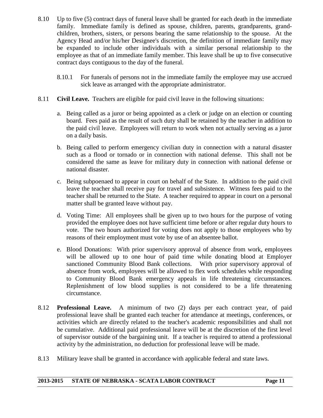- 8.10 Up to five (5) contract days of funeral leave shall be granted for each death in the immediate family. Immediate family is defined as spouse, children, parents, grandparents, grandchildren, brothers, sisters, or persons bearing the same relationship to the spouse. At the Agency Head and/or his/her Designee's discretion, the definition of immediate family may be expanded to include other individuals with a similar personal relationship to the employee as that of an immediate family member. This leave shall be up to five consecutive contract days contiguous to the day of the funeral.
	- 8.10.1 For funerals of persons not in the immediate family the employee may use accrued sick leave as arranged with the appropriate administrator.
- 8.11 **Civil Leave.** Teachers are eligible for paid civil leave in the following situations:
	- a. Being called as a juror or being appointed as a clerk or judge on an election or counting board. Fees paid as the result of such duty shall be retained by the teacher in addition to the paid civil leave. Employees will return to work when not actually serving as a juror on a daily basis.
	- b. Being called to perform emergency civilian duty in connection with a natural disaster such as a flood or tornado or in connection with national defense. This shall not be considered the same as leave for military duty in connection with national defense or national disaster.
	- c. Being subpoenaed to appear in court on behalf of the State. In addition to the paid civil leave the teacher shall receive pay for travel and subsistence. Witness fees paid to the teacher shall be returned to the State. A teacher required to appear in court on a personal matter shall be granted leave without pay.
	- d. Voting Time: All employees shall be given up to two hours for the purpose of voting provided the employee does not have sufficient time before or after regular duty hours to vote. The two hours authorized for voting does not apply to those employees who by reasons of their employment must vote by use of an absentee ballot.
	- e. Blood Donations: With prior supervisory approval of absence from work, employees will be allowed up to one hour of paid time while donating blood at Employer sanctioned Community Blood Bank collections. With prior supervisory approval of absence from work, employees will be allowed to flex work schedules while responding to Community Blood Bank emergency appeals in life threatening circumstances. Replenishment of low blood supplies is not considered to be a life threatening circumstance.
- 8.12 **Professional Leave.** A minimum of two (2) days per each contract year, of paid professional leave shall be granted each teacher for attendance at meetings, conferences, or activities which are directly related to the teacher's academic responsibilities and shall not be cumulative. Additional paid professional leave will be at the discretion of the first level of supervisor outside of the bargaining unit. If a teacher is required to attend a professional activity by the administration, no deduction for professional leave will be made.
- 8.13 Military leave shall be granted in accordance with applicable federal and state laws.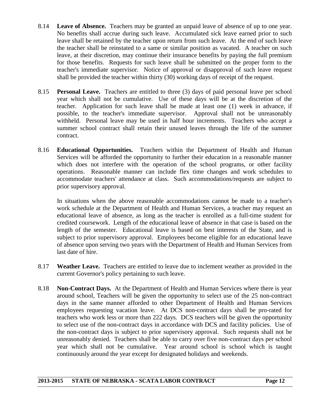- 8.14 **Leave of Absence.** Teachers may be granted an unpaid leave of absence of up to one year. No benefits shall accrue during such leave. Accumulated sick leave earned prior to such leave shall be retained by the teacher upon return from such leave. At the end of such leave the teacher shall be reinstated to a same or similar position as vacated. A teacher on such leave, at their discretion, may continue their insurance benefits by paying the full premium for those benefits. Requests for such leave shall be submitted on the proper form to the teacher's immediate supervisor. Notice of approval or disapproval of such leave request shall be provided the teacher within thirty (30) working days of receipt of the request.
- 8.15 **Personal Leave.** Teachers are entitled to three (3) days of paid personal leave per school year which shall not be cumulative. Use of these days will be at the discretion of the teacher. Application for such leave shall be made at least one (1) week in advance, if possible, to the teacher's immediate supervisor. Approval shall not be unreasonably withheld. Personal leave may be used in half hour increments. Teachers who accept a summer school contract shall retain their unused leaves through the life of the summer contract.
- 8.16 **Educational Opportunities.** Teachers within the Department of Health and Human Services will be afforded the opportunity to further their education in a reasonable manner which does not interfere with the operation of the school programs, or other facility operations. Reasonable manner can include flex time changes and work schedules to accommodate teachers' attendance at class. Such accommodations/requests are subject to prior supervisory approval.

In situations when the above reasonable accommodations cannot be made to a teacher's work schedule at the Department of Health and Human Services, a teacher may request an educational leave of absence, as long as the teacher is enrolled as a full-time student for credited coursework. Length of the educational leave of absence in that case is based on the length of the semester. Educational leave is based on best interests of the State, and is subject to prior supervisory approval. Employees become eligible for an educational leave of absence upon serving two years with the Department of Health and Human Services from last date of hire.

- 8.17 **Weather Leave.** Teachers are entitled to leave due to inclement weather as provided in the current Governor's policy pertaining to such leave.
- 8.18 **Non-Contract Days.** At the Department of Health and Human Services where there is year around school, Teachers will be given the opportunity to select use of the 25 non-contract days in the same manner afforded to other Department of Health and Human Services employees requesting vacation leave. At DCS non-contract days shall be pro-rated for teachers who work less or more than 222 days. DCS teachers will be given the opportunity to select use of the non-contract days in accordance with DCS and facility policies. Use of the non-contract days is subject to prior supervisory approval. Such requests shall not be unreasonably denied. Teachers shall be able to carry over five non-contract days per school year which shall not be cumulative. Year around school is school which is taught continuously around the year except for designated holidays and weekends.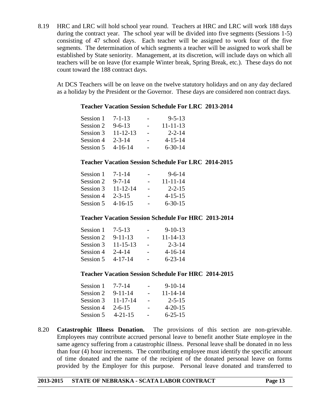8.19 HRC and LRC will hold school year round. Teachers at HRC and LRC will work 188 days during the contract year. The school year will be divided into five segments (Sessions 1-5) consisting of 47 school days. Each teacher will be assigned to work four of the five segments. The determination of which segments a teacher will be assigned to work shall be established by State seniority. Management, at its discretion, will include days on which all teachers will be on leave (for example Winter break, Spring Break, etc.). These days do not count toward the 188 contract days.

At DCS Teachers will be on leave on the twelve statutory holidays and on any day declared as a holiday by the President or the Governor. These days are considered non contract days.

#### **Teacher Vacation Session Schedule For LRC 2013-2014**

| 7-1-13         | $\overline{\phantom{0}}$ | $9 - 5 - 13$   |
|----------------|--------------------------|----------------|
| $9 - 6 - 13$   | $\overline{\phantom{0}}$ | $11 - 11 - 13$ |
| $11 - 12 - 13$ |                          | $2 - 2 - 14$   |
| $2 - 3 - 14$   |                          | $4 - 15 - 14$  |
| $4 - 16 - 14$  |                          | $6 - 30 - 14$  |
|                |                          |                |

#### **Teacher Vacation Session Schedule For LRC 2014-2015**

| Session 1 | $7 - 1 - 14$   | $9 - 6 - 14$   |
|-----------|----------------|----------------|
| Session 2 | $9 - 7 - 14$   | $11 - 11 - 14$ |
| Session 3 | $11 - 12 - 14$ | $2 - 2 - 15$   |
| Session 4 | $2 - 3 - 15$   | $4 - 15 - 15$  |
| Session 5 | $4 - 16 - 15$  | $6 - 30 - 15$  |
|           |                |                |

#### **Teacher Vacation Session Schedule For HRC 2013-2014**

| Session 1 | $7 - 5 - 13$   |                          | $9-10-13$      |
|-----------|----------------|--------------------------|----------------|
| Session 2 | $9 - 11 - 13$  | $\overline{\phantom{0}}$ | $11 - 14 - 13$ |
| Session 3 | $11 - 15 - 13$ |                          | $2 - 3 - 14$   |
| Session 4 | $2 - 4 - 14$   |                          | $4 - 16 - 14$  |
| Session 5 | $4 - 17 - 14$  |                          | $6 - 23 - 14$  |

#### **Teacher Vacation Session Schedule For HRC 2014-2015**

| Session 1 | $7 - 7 - 14$   | $9 - 10 - 14$  |
|-----------|----------------|----------------|
| Session 2 | $9 - 11 - 14$  | $11 - 14 - 14$ |
| Session 3 | $11 - 17 - 14$ | $2 - 5 - 15$   |
| Session 4 | $2 - 6 - 15$   | $4 - 20 - 15$  |
| Session 5 | $4 - 21 - 15$  | $6 - 25 - 15$  |

8.20 **Catastrophic Illness Donation.** The provisions of this section are non-grievable. Employees may contribute accrued personal leave to benefit another State employee in the same agency suffering from a catastrophic illness. Personal leave shall be donated in no less than four (4) hour increments. The contributing employee must identify the specific amount of time donated and the name of the recipient of the donated personal leave on forms provided by the Employer for this purpose. Personal leave donated and transferred to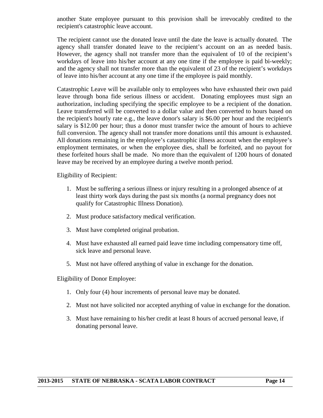another State employee pursuant to this provision shall be irrevocably credited to the recipient's catastrophic leave account.

The recipient cannot use the donated leave until the date the leave is actually donated. The agency shall transfer donated leave to the recipient's account on an as needed basis. However, the agency shall not transfer more than the equivalent of 10 of the recipient's workdays of leave into his/her account at any one time if the employee is paid bi-weekly; and the agency shall not transfer more than the equivalent of 23 of the recipient's workdays of leave into his/her account at any one time if the employee is paid monthly.

Catastrophic Leave will be available only to employees who have exhausted their own paid leave through bona fide serious illness or accident. Donating employees must sign an authorization, including specifying the specific employee to be a recipient of the donation. Leave transferred will be converted to a dollar value and then converted to hours based on the recipient's hourly rate e.g., the leave donor's salary is \$6.00 per hour and the recipient's salary is \$12.00 per hour; thus a donor must transfer twice the amount of hours to achieve full conversion. The agency shall not transfer more donations until this amount is exhausted. All donations remaining in the employee's catastrophic illness account when the employee's employment terminates, or when the employee dies, shall be forfeited, and no payout for these forfeited hours shall be made. No more than the equivalent of 1200 hours of donated leave may be received by an employee during a twelve month period.

Eligibility of Recipient:

- 1. Must be suffering a serious illness or injury resulting in a prolonged absence of at least thirty work days during the past six months (a normal pregnancy does not qualify for Catastrophic Illness Donation).
- 2. Must produce satisfactory medical verification.
- 3. Must have completed original probation.
- 4. Must have exhausted all earned paid leave time including compensatory time off, sick leave and personal leave.
- 5. Must not have offered anything of value in exchange for the donation.

Eligibility of Donor Employee:

- 1. Only four (4) hour increments of personal leave may be donated.
- 2. Must not have solicited nor accepted anything of value in exchange for the donation.
- 3. Must have remaining to his/her credit at least 8 hours of accrued personal leave, if donating personal leave.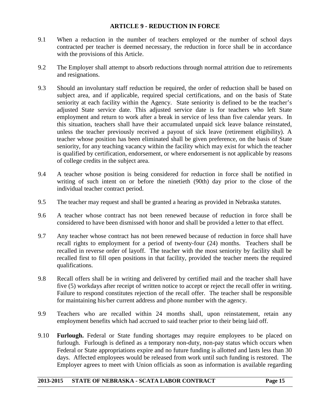#### **ARTICLE 9 - REDUCTION IN FORCE**

- 9.1 When a reduction in the number of teachers employed or the number of school days contracted per teacher is deemed necessary, the reduction in force shall be in accordance with the provisions of this Article.
- 9.2 The Employer shall attempt to absorb reductions through normal attrition due to retirements and resignations.
- 9.3 Should an involuntary staff reduction be required, the order of reduction shall be based on subject area, and if applicable, required special certifications, and on the basis of State seniority at each facility within the Agency. State seniority is defined to be the teacher's adjusted State service date. This adjusted service date is for teachers who left State employment and return to work after a break in service of less than five calendar years. In this situation, teachers shall have their accumulated unpaid sick leave balance reinstated, unless the teacher previously received a payout of sick leave (retirement eligibility). A teacher whose position has been eliminated shall be given preference, on the basis of State seniority, for any teaching vacancy within the facility which may exist for which the teacher is qualified by certification, endorsement, or where endorsement is not applicable by reasons of college credits in the subject area.
- 9.4 A teacher whose position is being considered for reduction in force shall be notified in writing of such intent on or before the ninetieth (90th) day prior to the close of the individual teacher contract period.
- 9.5 The teacher may request and shall be granted a hearing as provided in Nebraska statutes.
- 9.6 A teacher whose contract has not been renewed because of reduction in force shall be considered to have been dismissed with honor and shall be provided a letter to that effect.
- 9.7 Any teacher whose contract has not been renewed because of reduction in force shall have recall rights to employment for a period of twenty-four (24) months. Teachers shall be recalled in reverse order of layoff. The teacher with the most seniority by facility shall be recalled first to fill open positions in that facility, provided the teacher meets the required qualifications.
- 9.8 Recall offers shall be in writing and delivered by certified mail and the teacher shall have five (5) workdays after receipt of written notice to accept or reject the recall offer in writing. Failure to respond constitutes rejection of the recall offer. The teacher shall be responsible for maintaining his/her current address and phone number with the agency.
- 9.9 Teachers who are recalled within 24 months shall, upon reinstatement, retain any employment benefits which had accrued to said teacher prior to their being laid off.
- 9.10 **Furlough.** Federal or State funding shortages may require employees to be placed on furlough. Furlough is defined as a temporary non-duty, non-pay status which occurs when Federal or State appropriations expire and no future funding is allotted and lasts less than 30 days. Affected employees would be released from work until such funding is restored. The Employer agrees to meet with Union officials as soon as information is available regarding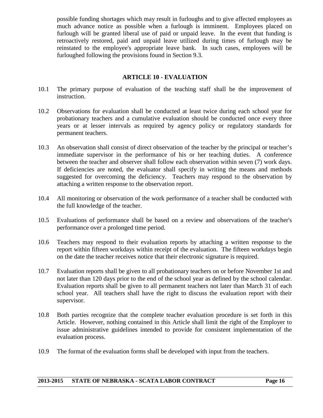possible funding shortages which may result in furloughs and to give affected employees as much advance notice as possible when a furlough is imminent. Employees placed on furlough will be granted liberal use of paid or unpaid leave. In the event that funding is retroactively restored, paid and unpaid leave utilized during times of furlough may be reinstated to the employee's appropriate leave bank. In such cases, employees will be furloughed following the provisions found in Section 9.3.

#### **ARTICLE 10 - EVALUATION**

- 10.1 The primary purpose of evaluation of the teaching staff shall be the improvement of instruction.
- 10.2 Observations for evaluation shall be conducted at least twice during each school year for probationary teachers and a cumulative evaluation should be conducted once every three years or at lesser intervals as required by agency policy or regulatory standards for permanent teachers.
- 10.3 An observation shall consist of direct observation of the teacher by the principal or teacher's immediate supervisor in the performance of his or her teaching duties. A conference between the teacher and observer shall follow each observation within seven (7) work days. If deficiencies are noted, the evaluator shall specify in writing the means and methods suggested for overcoming the deficiency. Teachers may respond to the observation by attaching a written response to the observation report.
- 10.4 All monitoring or observation of the work performance of a teacher shall be conducted with the full knowledge of the teacher.
- 10.5 Evaluations of performance shall be based on a review and observations of the teacher's performance over a prolonged time period.
- 10.6 Teachers may respond to their evaluation reports by attaching a written response to the report within fifteen workdays within receipt of the evaluation. The fifteen workdays begin on the date the teacher receives notice that their electronic signature is required.
- 10.7 Evaluation reports shall be given to all probationary teachers on or before November 1st and not later than 120 days prior to the end of the school year as defined by the school calendar. Evaluation reports shall be given to all permanent teachers not later than March 31 of each school year. All teachers shall have the right to discuss the evaluation report with their supervisor.
- 10.8 Both parties recognize that the complete teacher evaluation procedure is set forth in this Article. However, nothing contained in this Article shall limit the right of the Employer to issue administrative guidelines intended to provide for consistent implementation of the evaluation process.
- 10.9 The format of the evaluation forms shall be developed with input from the teachers.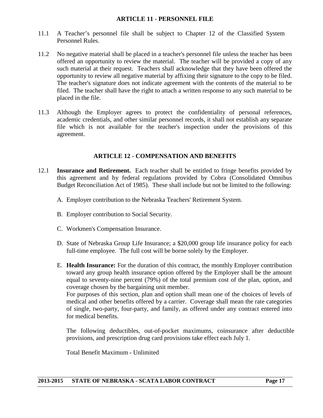#### **ARTICLE 11 - PERSONNEL FILE**

- 11.1 A Teacher's personnel file shall be subject to Chapter 12 of the Classified System Personnel Rules.
- 11.2 No negative material shall be placed in a teacher's personnel file unless the teacher has been offered an opportunity to review the material. The teacher will be provided a copy of any such material at their request. Teachers shall acknowledge that they have been offered the opportunity to review all negative material by affixing their signature to the copy to be filed. The teacher's signature does not indicate agreement with the contents of the material to be filed. The teacher shall have the right to attach a written response to any such material to be placed in the file.
- 11.3 Although the Employer agrees to protect the confidentiality of personal references, academic credentials, and other similar personnel records, it shall not establish any separate file which is not available for the teacher's inspection under the provisions of this agreement.

#### **ARTICLE 12 - COMPENSATION AND BENEFITS**

- 12.1 **Insurance and Retirement.** Each teacher shall be entitled to fringe benefits provided by this agreement and by federal regulations provided by Cobra (Consolidated Omnibus Budget Reconciliation Act of 1985). These shall include but not be limited to the following:
	- A. Employer contribution to the Nebraska Teachers' Retirement System.
	- B. Employer contribution to Social Security.
	- C. Workmen's Compensation Insurance.
	- D. State of Nebraska Group Life Insurance; a \$20,000 group life insurance policy for each full-time employee. The full cost will be borne solely by the Employer.
	- E. **Health Insurance:** For the duration of this contract, the monthly Employer contribution toward any group health insurance option offered by the Employer shall be the amount equal to seventy-nine percent (79%) of the total premium cost of the plan, option, and coverage chosen by the bargaining unit member.

For purposes of this section, plan and option shall mean one of the choices of levels of medical and other benefits offered by a carrier. Coverage shall mean the rate categories of single, two-party, four-party, and family, as offered under any contract entered into for medical benefits.

The following deductibles, out-of-pocket maximums, coinsurance after deductible provisions, and prescription drug card provisions take effect each July 1.

Total Benefit Maximum - Unlimited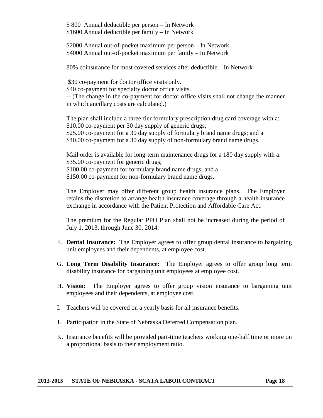\$ 800 Annual deductible per person – In Network \$1600 Annual deductible per family – In Network

\$2000 Annual out-of-pocket maximum per person – In Network \$4000 Annual out-of-pocket maximum per family – In Network

80% coinsurance for most covered services after deductible – In Network

\$30 co-payment for doctor office visits only.

\$40 co-payment for specialty doctor office visits.

-- (The change in the co-payment for doctor office visits shall not change the manner in which ancillary costs are calculated.)

The plan shall include a three-tier formulary prescription drug card coverage with a: \$10.00 co-payment per 30 day supply of generic drugs; \$25.00 co-payment for a 30 day supply of formulary brand name drugs; and a \$40.00 co-payment for a 30 day supply of non-formulary brand name drugs.

Mail order is available for long-term maintenance drugs for a 180 day supply with a: \$35.00 co-payment for generic drugs; \$100.00 co-payment for formulary brand name drugs; and a \$150.00 co-payment for non-formulary brand name drugs.

The Employer may offer different group health insurance plans. The Employer retains the discretion to arrange health insurance coverage through a health insurance exchange in accordance with the Patient Protection and Affordable Care Act.

The premium for the Regular PPO Plan shall not be increased during the period of July 1, 2013, through June 30, 2014.

- F. **Dental Insurance:** The Employer agrees to offer group dental insurance to bargaining unit employees and their dependents, at employee cost.
- G. **Long Term Disability Insurance:** The Employer agrees to offer group long term disability insurance for bargaining unit employees at employee cost.
- H. **Vision:** The Employer agrees to offer group vision insurance to bargaining unit employees and their dependents, at employee cost.
- I. Teachers will be covered on a yearly basis for all insurance benefits.
- J. Participation in the State of Nebraska Deferred Compensation plan.
- K. Insurance benefits will be provided part-time teachers working one-half time or more on a proportional basis to their employment ratio.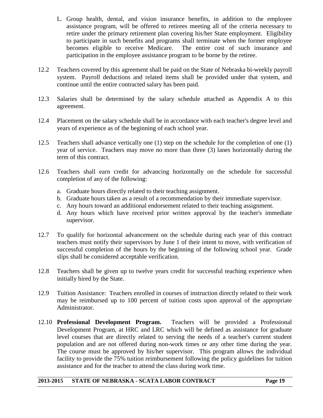- L. Group health, dental, and vision insurance benefits, in addition to the employee assistance program, will be offered to retirees meeting all of the criteria necessary to retire under the primary retirement plan covering his/her State employment. Eligibility to participate in such benefits and programs shall terminate when the former employee becomes eligible to receive Medicare. The entire cost of such insurance and participation in the employee assistance program to be borne by the retiree.
- 12.2 Teachers covered by this agreement shall be paid on the State of Nebraska bi-weekly payroll system. Payroll deductions and related items shall be provided under that system, and continue until the entire contracted salary has been paid.
- 12.3 Salaries shall be determined by the salary schedule attached as Appendix A to this agreement.
- 12.4 Placement on the salary schedule shall be in accordance with each teacher's degree level and years of experience as of the beginning of each school year.
- 12.5 Teachers shall advance vertically one (1) step on the schedule for the completion of one (1) year of service. Teachers may move no more than three (3) lanes horizontally during the term of this contract.
- 12.6 Teachers shall earn credit for advancing horizontally on the schedule for successful completion of any of the following:
	- a. Graduate hours directly related to their teaching assignment.
	- b. Graduate hours taken as a result of a recommendation by their immediate supervisor.
	- c. Any hours toward an additional endorsement related to their teaching assignment.
	- d. Any hours which have received prior written approval by the teacher's immediate supervisor.
- 12.7 To qualify for horizontal advancement on the schedule during each year of this contract teachers must notify their supervisors by June 1 of their intent to move, with verification of successful completion of the hours by the beginning of the following school year. Grade slips shall be considered acceptable verification.
- 12.8 Teachers shall be given up to twelve years credit for successful teaching experience when initially hired by the State.
- 12.9 Tuition Assistance: Teachers enrolled in courses of instruction directly related to their work may be reimbursed up to 100 percent of tuition costs upon approval of the appropriate Administrator.
- 12.10 **Professional Development Program.** Teachers will be provided a Professional Development Program, at HRC and LRC which will be defined as assistance for graduate level courses that are directly related to serving the needs of a teacher's current student population and are not offered during non-work times or any other time during the year. The course must be approved by his/her supervisor. This program allows the individual facility to provide the 75% tuition reimbursement following the policy guidelines for tuition assistance and for the teacher to attend the class during work time.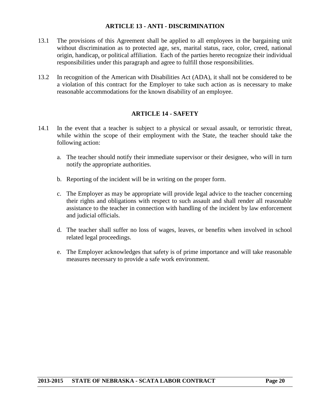#### **ARTICLE 13 - ANTI - DISCRIMINATION**

- 13.1 The provisions of this Agreement shall be applied to all employees in the bargaining unit without discrimination as to protected age, sex, marital status, race, color, creed, national origin, handicap, or political affiliation. Each of the parties hereto recognize their individual responsibilities under this paragraph and agree to fulfill those responsibilities.
- 13.2 In recognition of the American with Disabilities Act (ADA), it shall not be considered to be a violation of this contract for the Employer to take such action as is necessary to make reasonable accommodations for the known disability of an employee.

#### **ARTICLE 14 - SAFETY**

- 14.1 In the event that a teacher is subject to a physical or sexual assault, or terroristic threat, while within the scope of their employment with the State, the teacher should take the following action:
	- a. The teacher should notify their immediate supervisor or their designee, who will in turn notify the appropriate authorities.
	- b. Reporting of the incident will be in writing on the proper form.
	- c. The Employer as may be appropriate will provide legal advice to the teacher concerning their rights and obligations with respect to such assault and shall render all reasonable assistance to the teacher in connection with handling of the incident by law enforcement and judicial officials.
	- d. The teacher shall suffer no loss of wages, leaves, or benefits when involved in school related legal proceedings.
	- e. The Employer acknowledges that safety is of prime importance and will take reasonable measures necessary to provide a safe work environment.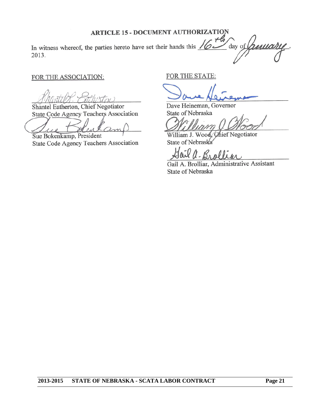#### **ARTICLE 15 - DOCUMENT AUTHORIZATION**

th In witness whereof, the parties hereto have set their hands this  $\sqrt{\mathcal{L}}$ day of 2013.

#### FOR THE ASSOCIATION:

Shantel Eatherton, Chief Negotiator State Code Agency Teachers Association

am  $110$ 

Sue Bokenkamp, President State Code Agency Teachers Association

FOR THE STATE:

Dave Heineman, Governor State of Nebraska

William J. Wood, Chief Negotiator State of Nebraska

ail Brollin

Gail A. Brolliar, Administrative Assistant State of Nebraska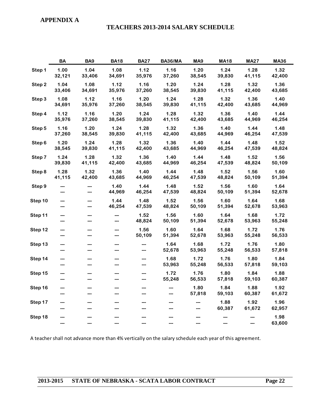#### **APPENDIX A**

#### **TEACHERS 2013-2014 SALARY SCHEDULE**

|         | BA             | BA <sub>9</sub> | <b>BA18</b>    | <b>BA27</b>    | BA36/MA        | MA <sub>9</sub> | <b>MA18</b>    | <b>MA27</b>    | <b>MA36</b>    |
|---------|----------------|-----------------|----------------|----------------|----------------|-----------------|----------------|----------------|----------------|
| Step 1  | 1.00<br>32,121 | 1.04<br>33,406  | 1.08<br>34,691 | 1.12<br>35,976 | 1.16<br>37,260 | 1.20<br>38,545  | 1.24<br>39,830 | 1.28<br>41,115 | 1.32<br>42,400 |
| Step 2  | 1.04<br>33,406 | 1.08<br>34,691  | 1.12<br>35,976 | 1.16<br>37,260 | 1.20<br>38,545 | 1.24<br>39,830  | 1.28<br>41,115 | 1.32<br>42,400 | 1.36<br>43,685 |
| Step 3  | 1.08<br>34,691 | 1.12<br>35,976  | 1.16<br>37,260 | 1.20<br>38,545 | 1.24<br>39,830 | 1.28<br>41,115  | 1.32<br>42,400 | 1.36<br>43,685 | 1.40<br>44,969 |
| Step 4  | 1.12<br>35,976 | 1.16<br>37,260  | 1.20<br>38,545 | 1.24<br>39,830 | 1.28<br>41,115 | 1.32<br>42,400  | 1.36<br>43,685 | 1.40<br>44,969 | 1.44<br>46,254 |
| Step 5  | 1.16<br>37,260 | 1.20<br>38,545  | 1.24<br>39,830 | 1.28<br>41,115 | 1.32<br>42,400 | 1.36<br>43,685  | 1.40<br>44,969 | 1.44<br>46,254 | 1.48<br>47,539 |
| Step 6  | 1.20<br>38,545 | 1.24<br>39,830  | 1.28<br>41,115 | 1.32<br>42,400 | 1.36<br>43,685 | 1.40<br>44,969  | 1.44<br>46,254 | 1.48<br>47,539 | 1.52<br>48,824 |
| Step 7  | 1.24<br>39,830 | 1.28<br>41,115  | 1.32<br>42,400 | 1.36<br>43,685 | 1.40<br>44,969 | 1.44<br>46,254  | 1.48<br>47,539 | 1.52<br>48,824 | 1.56<br>50,109 |
| Step 8  | 1.28<br>41,115 | 1.32<br>42,400  | 1.36<br>43,685 | 1.40<br>44,969 | 1.44<br>46,254 | 1.48<br>47,539  | 1.52<br>48,824 | 1.56<br>50,109 | 1.60<br>51,394 |
| Step 9  | ---<br>---     | ---             | 1.40<br>44,969 | 1.44<br>46,254 | 1.48<br>47,539 | 1.52<br>48,824  | 1.56<br>50,109 | 1.60<br>51,394 | 1.64<br>52,678 |
| Step 10 | ---<br>---     | ---<br>---      | 1.44<br>46,254 | 1.48<br>47,539 | 1.52<br>48,824 | 1.56<br>50,109  | 1.60<br>51,394 | 1.64<br>52,678 | 1.68<br>53,963 |
| Step 11 | ---<br>---     |                 | ---            | 1.52<br>48,824 | 1.56<br>50,109 | 1.60<br>51,394  | 1.64<br>52,678 | 1.68<br>53,963 | 1.72<br>55,248 |
| Step 12 | ---<br>---     |                 |                | 1.56<br>50,109 | 1.60<br>51,394 | 1.64<br>52,678  | 1.68<br>53,963 | 1.72<br>55,248 | 1.76<br>56,533 |
| Step 13 | ---<br>---     |                 |                | ---<br>---     | 1.64<br>52,678 | 1.68<br>53,963  | 1.72<br>55,248 | 1.76<br>56,533 | 1.80<br>57,818 |
| Step 14 |                |                 |                | ---            | 1.68<br>53,963 | 1.72<br>55,248  | 1.76<br>56,533 | 1.80<br>57,818 | 1.84<br>59,103 |
| Step 15 |                |                 |                |                | 1.72<br>55,248 | 1.76<br>56,533  | 1.80<br>57,818 | 1.84<br>59,103 | 1.88<br>60,387 |
| Step 16 |                |                 |                |                |                | 1.80<br>57,818  | 1.84<br>59,103 | 1.88<br>60,387 | 1.92<br>61,672 |
| Step 17 |                |                 |                |                |                | ---             | 1.88<br>60,387 | 1.92<br>61,672 | 1.96<br>62,957 |
| Step 18 |                |                 |                |                |                |                 |                |                | 1.98<br>63,600 |

A teacher shall not advance more than 4% vertically on the salary schedule each year of this agreement.

#### **2013-2015 STATE OF NEBRASKA - SCATA LABOR CONTRACT Page 22**